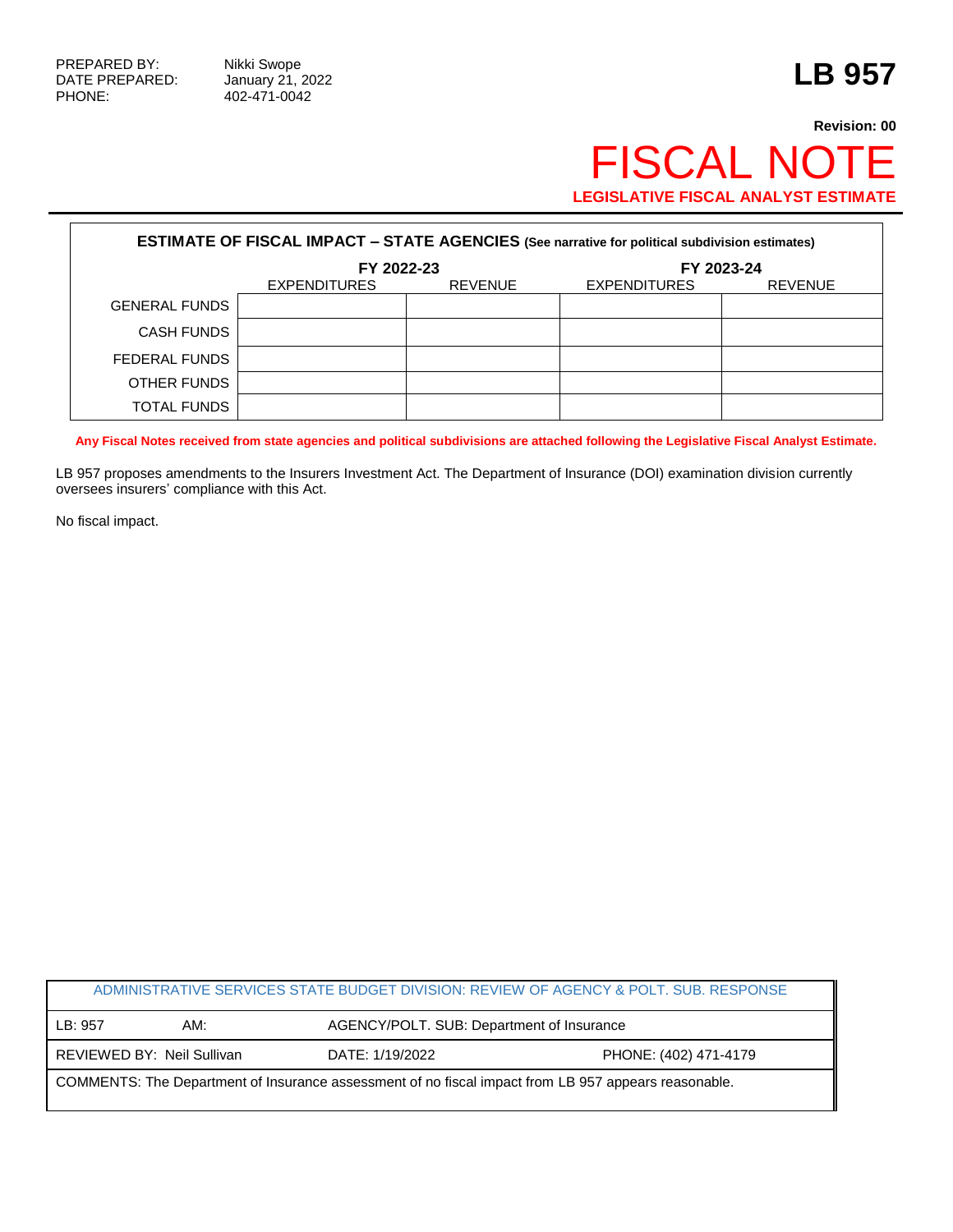PHONE: 402-471-0042

## **Revision: 00** FISCAL NOTE **LEGISLATIVE FISCAL ANALYST ESTIMATE**

| <b>ESTIMATE OF FISCAL IMPACT - STATE AGENCIES (See narrative for political subdivision estimates)</b> |                     |                |                     |                |  |
|-------------------------------------------------------------------------------------------------------|---------------------|----------------|---------------------|----------------|--|
|                                                                                                       | FY 2022-23          |                | FY 2023-24          |                |  |
|                                                                                                       | <b>EXPENDITURES</b> | <b>REVENUE</b> | <b>EXPENDITURES</b> | <b>REVENUE</b> |  |
| <b>GENERAL FUNDS</b>                                                                                  |                     |                |                     |                |  |
| <b>CASH FUNDS</b>                                                                                     |                     |                |                     |                |  |
| FEDERAL FUNDS                                                                                         |                     |                |                     |                |  |
| OTHER FUNDS                                                                                           |                     |                |                     |                |  |
| <b>TOTAL FUNDS</b>                                                                                    |                     |                |                     |                |  |

**Any Fiscal Notes received from state agencies and political subdivisions are attached following the Legislative Fiscal Analyst Estimate.**

LB 957 proposes amendments to the Insurers Investment Act. The Department of Insurance (DOI) examination division currently oversees insurers' compliance with this Act.

No fiscal impact.

| ADMINISTRATIVE SERVICES STATE BUDGET DIVISION: REVIEW OF AGENCY & POLT. SUB. RESPONSE                |                            |                 |                                           |  |  |
|------------------------------------------------------------------------------------------------------|----------------------------|-----------------|-------------------------------------------|--|--|
| LB: 957                                                                                              | AM:                        |                 | AGENCY/POLT. SUB: Department of Insurance |  |  |
|                                                                                                      | REVIEWED BY: Neil Sullivan | DATE: 1/19/2022 | PHONE: (402) 471-4179                     |  |  |
| COMMENTS: The Department of Insurance assessment of no fiscal impact from LB 957 appears reasonable. |                            |                 |                                           |  |  |